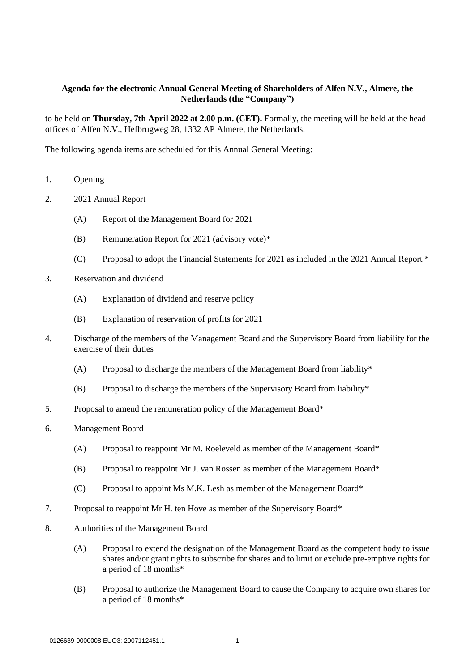### **Agenda for the electronic Annual General Meeting of Shareholders of Alfen N.V., Almere, the Netherlands (the "Company")**

to be held on **Thursday, 7th April 2022 at 2.00 p.m. (CET).** Formally, the meeting will be held at the head offices of Alfen N.V., Hefbrugweg 28, 1332 AP Almere, the Netherlands.

The following agenda items are scheduled for this Annual General Meeting:

- 1. Opening
- 2. 2021 Annual Report
	- (A) Report of the Management Board for 2021
	- (B) Remuneration Report for 2021 (advisory vote)\*
	- (C) Proposal to adopt the Financial Statements for 2021 as included in the 2021 Annual Report \*
- 3. Reservation and dividend
	- (A) Explanation of dividend and reserve policy
	- (B) Explanation of reservation of profits for 2021
- 4. Discharge of the members of the Management Board and the Supervisory Board from liability for the exercise of their duties
	- (A) Proposal to discharge the members of the Management Board from liability\*
	- (B) Proposal to discharge the members of the Supervisory Board from liability\*
- 5. Proposal to amend the remuneration policy of the Management Board\*
- 6. Management Board
	- (A) Proposal to reappoint Mr M. Roeleveld as member of the Management Board\*
	- (B) Proposal to reappoint Mr J. van Rossen as member of the Management Board\*
	- $(C)$  Proposal to appoint Ms M.K. Lesh as member of the Management Board\*
- 7. Proposal to reappoint Mr H. ten Hove as member of the Supervisory Board\*
- 8. Authorities of the Management Board
	- (A) Proposal to extend the designation of the Management Board as the competent body to issue shares and/or grant rights to subscribe for shares and to limit or exclude pre-emptive rights for a period of 18 months\*
	- (B) Proposal to authorize the Management Board to cause the Company to acquire own shares for a period of 18 months\*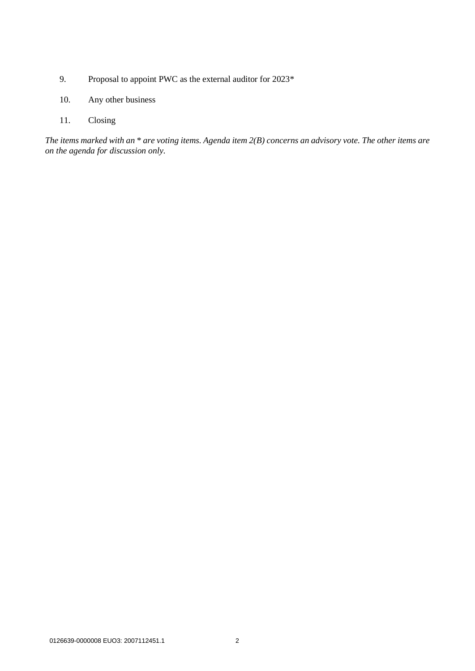- 9. Proposal to appoint PWC as the external auditor for 2023\*
- 10. Any other business
- 11. Closing

*The items marked with an* \* *are voting items. Agenda item 2(B) concerns an advisory vote. The other items are on the agenda for discussion only.*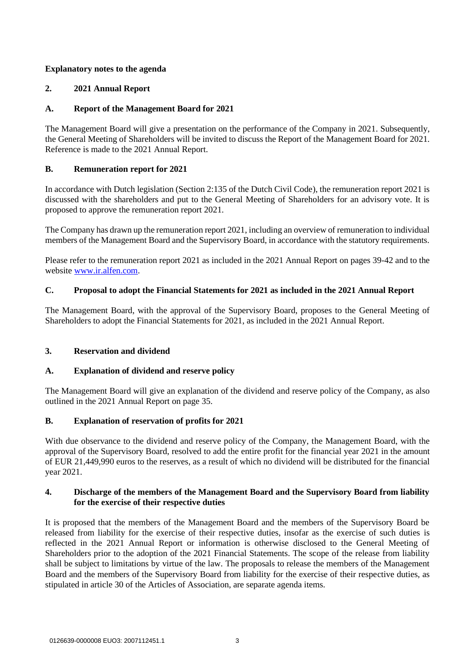## **Explanatory notes to the agenda**

# **2. 2021 Annual Report**

# **A. Report of the Management Board for 2021**

The Management Board will give a presentation on the performance of the Company in 2021. Subsequently, the General Meeting of Shareholders will be invited to discuss the Report of the Management Board for 2021. Reference is made to the 2021 Annual Report.

## **B. Remuneration report for 2021**

In accordance with Dutch legislation (Section 2:135 of the Dutch Civil Code), the remuneration report 2021 is discussed with the shareholders and put to the General Meeting of Shareholders for an advisory vote. It is proposed to approve the remuneration report 2021.

The Company has drawn up the remuneration report 2021, including an overview of remuneration to individual members of the Management Board and the Supervisory Board, in accordance with the statutory requirements.

Please refer to the remuneration report 2021 as included in the 2021 Annual Report on pages 39-42 and to the website [www.ir.alfen.com.](http://www.ir.alfen.com/)

# **C. Proposal to adopt the Financial Statements for 2021 as included in the 2021 Annual Report**

The Management Board, with the approval of the Supervisory Board, proposes to the General Meeting of Shareholders to adopt the Financial Statements for 2021, as included in the 2021 Annual Report.

## **3. Reservation and dividend**

## **A. Explanation of dividend and reserve policy**

The Management Board will give an explanation of the dividend and reserve policy of the Company, as also outlined in the 2021 Annual Report on page 35.

## **B. Explanation of reservation of profits for 2021**

With due observance to the dividend and reserve policy of the Company, the Management Board, with the approval of the Supervisory Board, resolved to add the entire profit for the financial year 2021 in the amount of EUR 21,449,990 euros to the reserves, as a result of which no dividend will be distributed for the financial year 2021.

## **4. Discharge of the members of the Management Board and the Supervisory Board from liability for the exercise of their respective duties**

It is proposed that the members of the Management Board and the members of the Supervisory Board be released from liability for the exercise of their respective duties, insofar as the exercise of such duties is reflected in the 2021 Annual Report or information is otherwise disclosed to the General Meeting of Shareholders prior to the adoption of the 2021 Financial Statements. The scope of the release from liability shall be subject to limitations by virtue of the law. The proposals to release the members of the Management Board and the members of the Supervisory Board from liability for the exercise of their respective duties, as stipulated in article 30 of the Articles of Association, are separate agenda items.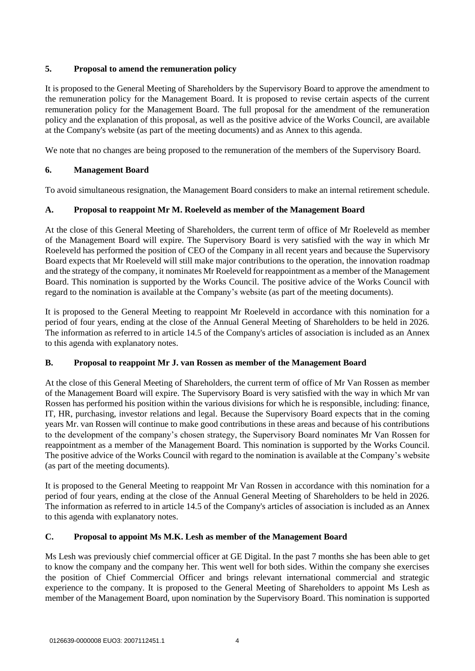## **5. Proposal to amend the remuneration policy**

It is proposed to the General Meeting of Shareholders by the Supervisory Board to approve the amendment to the remuneration policy for the Management Board. It is proposed to revise certain aspects of the current remuneration policy for the Management Board. The full proposal for the amendment of the remuneration policy and the explanation of this proposal, as well as the positive advice of the Works Council, are available at the Company's website (as part of the meeting documents) and as Annex to this agenda.

We note that no changes are being proposed to the remuneration of the members of the Supervisory Board.

# **6. Management Board**

To avoid simultaneous resignation, the Management Board considers to make an internal retirement schedule.

# **A. Proposal to reappoint Mr M. Roeleveld as member of the Management Board**

At the close of this General Meeting of Shareholders, the current term of office of Mr Roeleveld as member of the Management Board will expire. The Supervisory Board is very satisfied with the way in which Mr Roeleveld has performed the position of CEO of the Company in all recent years and because the Supervisory Board expects that Mr Roeleveld will still make major contributions to the operation, the innovation roadmap and the strategy of the company, it nominates Mr Roeleveld for reappointment as a member of the Management Board. This nomination is supported by the Works Council. The positive advice of the Works Council with regard to the nomination is available at the Company's website (as part of the meeting documents).

It is proposed to the General Meeting to reappoint Mr Roeleveld in accordance with this nomination for a period of four years, ending at the close of the Annual General Meeting of Shareholders to be held in 2026. The information as referred to in article 14.5 of the Company's articles of association is included as an Annex to this agenda with explanatory notes.

## **B. Proposal to reappoint Mr J. van Rossen as member of the Management Board**

At the close of this General Meeting of Shareholders, the current term of office of Mr Van Rossen as member of the Management Board will expire. The Supervisory Board is very satisfied with the way in which Mr van Rossen has performed his position within the various divisions for which he is responsible, including: finance, IT, HR, purchasing, investor relations and legal. Because the Supervisory Board expects that in the coming years Mr. van Rossen will continue to make good contributions in these areas and because of his contributions to the development of the company's chosen strategy, the Supervisory Board nominates Mr Van Rossen for reappointment as a member of the Management Board. This nomination is supported by the Works Council. The positive advice of the Works Council with regard to the nomination is available at the Company's website (as part of the meeting documents).

It is proposed to the General Meeting to reappoint Mr Van Rossen in accordance with this nomination for a period of four years, ending at the close of the Annual General Meeting of Shareholders to be held in 2026. The information as referred to in article 14.5 of the Company's articles of association is included as an Annex to this agenda with explanatory notes.

## **C. Proposal to appoint Ms M.K. Lesh as member of the Management Board**

Ms Lesh was previously chief commercial officer at GE Digital. In the past 7 months she has been able to get to know the company and the company her. This went well for both sides. Within the company she exercises the position of Chief Commercial Officer and brings relevant international commercial and strategic experience to the company. It is proposed to the General Meeting of Shareholders to appoint Ms Lesh as member of the Management Board, upon nomination by the Supervisory Board. This nomination is supported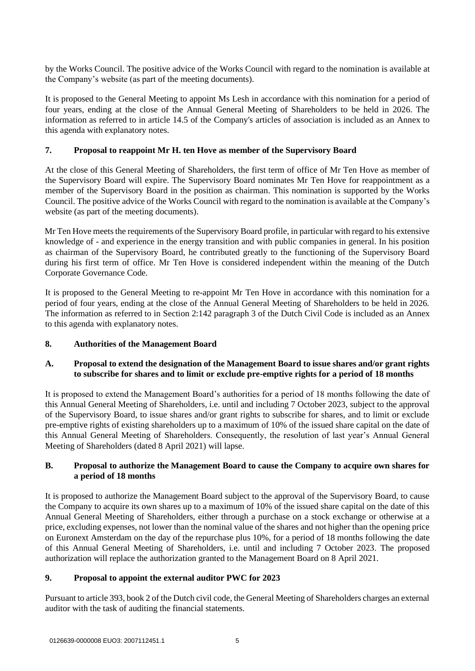by the Works Council. The positive advice of the Works Council with regard to the nomination is available at the Company's website (as part of the meeting documents).

It is proposed to the General Meeting to appoint Ms Lesh in accordance with this nomination for a period of four years, ending at the close of the Annual General Meeting of Shareholders to be held in 2026. The information as referred to in article 14.5 of the Company's articles of association is included as an Annex to this agenda with explanatory notes.

### **7. Proposal to reappoint Mr H. ten Hove as member of the Supervisory Board**

At the close of this General Meeting of Shareholders, the first term of office of Mr Ten Hove as member of the Supervisory Board will expire. The Supervisory Board nominates Mr Ten Hove for reappointment as a member of the Supervisory Board in the position as chairman. This nomination is supported by the Works Council. The positive advice of the Works Council with regard to the nomination is available at the Company's website (as part of the meeting documents).

Mr Ten Hove meets the requirements of the Supervisory Board profile, in particular with regard to his extensive knowledge of - and experience in the energy transition and with public companies in general. In his position as chairman of the Supervisory Board, he contributed greatly to the functioning of the Supervisory Board during his first term of office. Mr Ten Hove is considered independent within the meaning of the Dutch Corporate Governance Code.

It is proposed to the General Meeting to re-appoint Mr Ten Hove in accordance with this nomination for a period of four years, ending at the close of the Annual General Meeting of Shareholders to be held in 2026. The information as referred to in Section 2:142 paragraph 3 of the Dutch Civil Code is included as an Annex to this agenda with explanatory notes.

### **8. Authorities of the Management Board**

### **A. Proposal to extend the designation of the Management Board to issue shares and/or grant rights to subscribe for shares and to limit or exclude pre-emptive rights for a period of 18 months**

It is proposed to extend the Management Board's authorities for a period of 18 months following the date of this Annual General Meeting of Shareholders, i.e. until and including 7 October 2023, subject to the approval of the Supervisory Board, to issue shares and/or grant rights to subscribe for shares, and to limit or exclude pre-emptive rights of existing shareholders up to a maximum of 10% of the issued share capital on the date of this Annual General Meeting of Shareholders. Consequently, the resolution of last year's Annual General Meeting of Shareholders (dated 8 April 2021) will lapse.

## **B. Proposal to authorize the Management Board to cause the Company to acquire own shares for a period of 18 months**

It is proposed to authorize the Management Board subject to the approval of the Supervisory Board, to cause the Company to acquire its own shares up to a maximum of 10% of the issued share capital on the date of this Annual General Meeting of Shareholders, either through a purchase on a stock exchange or otherwise at a price, excluding expenses, not lower than the nominal value of the shares and not higher than the opening price on Euronext Amsterdam on the day of the repurchase plus 10%, for a period of 18 months following the date of this Annual General Meeting of Shareholders, i.e. until and including 7 October 2023. The proposed authorization will replace the authorization granted to the Management Board on 8 April 2021.

### **9. Proposal to appoint the external auditor PWC for 2023**

Pursuant to article 393, book 2 of the Dutch civil code, the General Meeting of Shareholders charges an external auditor with the task of auditing the financial statements.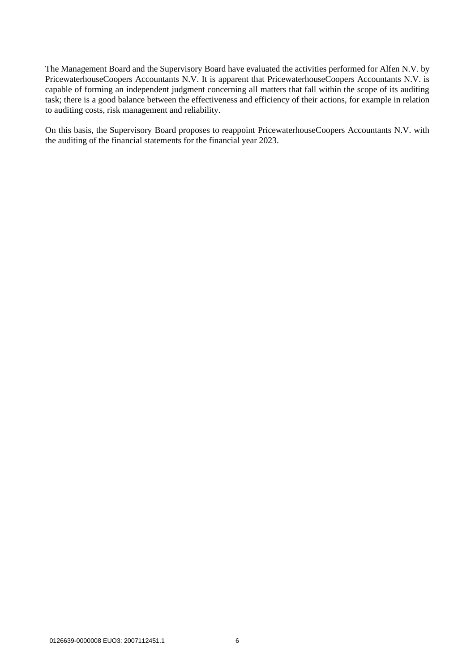The Management Board and the Supervisory Board have evaluated the activities performed for Alfen N.V. by PricewaterhouseCoopers Accountants N.V. It is apparent that PricewaterhouseCoopers Accountants N.V. is capable of forming an independent judgment concerning all matters that fall within the scope of its auditing task; there is a good balance between the effectiveness and efficiency of their actions, for example in relation to auditing costs, risk management and reliability.

On this basis, the Supervisory Board proposes to reappoint PricewaterhouseCoopers Accountants N.V. with the auditing of the financial statements for the financial year 2023.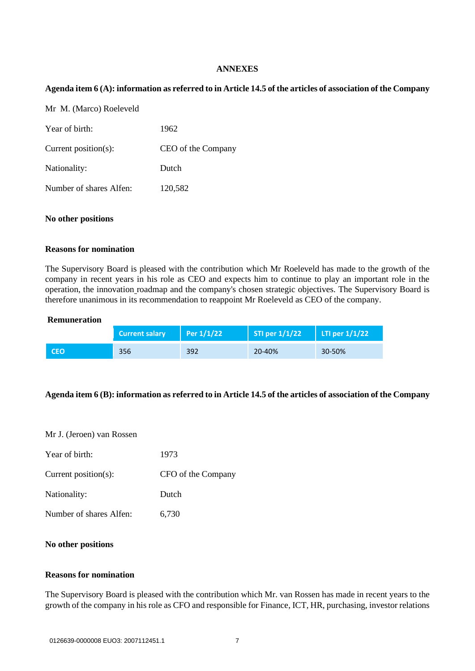#### **ANNEXES**

### **Agenda item 6 (A): information as referred to in Article 14.5 of the articles of association of the Company**

| Mr M. (Marco) Roeleveld |                    |
|-------------------------|--------------------|
| Year of birth:          | 1962               |
| Current position(s):    | CEO of the Company |
| Nationality:            | Dutch              |
| Number of shares Alfen: | 120,582            |
|                         |                    |

#### **No other positions**

#### **Reasons for nomination**

The Supervisory Board is pleased with the contribution which Mr Roeleveld has made to the growth of the company in recent years in his role as CEO and expects him to continue to play an important role in the operation, the innovation roadmap and the company's chosen strategic objectives. The Supervisory Board is therefore unanimous in its recommendation to reappoint Mr Roeleveld as CEO of the company.

#### **Remuneration**

|            | <b>Current salary</b> | $\Pr 1/1/22$ | STI per $1/1/22$ | $\vert$ LTI per 1/1/22 |
|------------|-----------------------|--------------|------------------|------------------------|
| <b>CEO</b> | 356                   | 392          | 20-40%           | 30-50%                 |

#### **Agenda item 6 (B): information as referred to in Article 14.5 of the articles of association of the Company**

| Year of birth:          | 1973               |
|-------------------------|--------------------|
| Current position(s):    | CFO of the Company |
| Nationality:            | Dutch              |
| Number of shares Alfen: | 6,730              |

### **No other positions**

#### **Reasons for nomination**

The Supervisory Board is pleased with the contribution which Mr. van Rossen has made in recent years to the growth of the company in his role as CFO and responsible for Finance, ICT, HR, purchasing, investor relations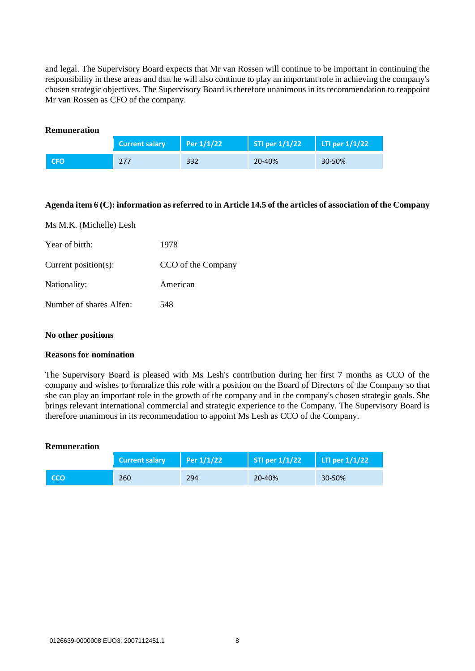and legal. The Supervisory Board expects that Mr van Rossen will continue to be important in continuing the responsibility in these areas and that he will also continue to play an important role in achieving the company's chosen strategic objectives. The Supervisory Board is therefore unanimous in its recommendation to reappoint Mr van Rossen as CFO of the company.

| <b>Remuneration</b> |                       |                    |                  |                  |
|---------------------|-----------------------|--------------------|------------------|------------------|
|                     | <b>Current salary</b> | $\vert$ Per 1/1/22 | STI per $1/1/22$ | LTI per $1/1/22$ |
| <b>CFO</b>          | 277                   | 332                | 20-40%           | 30-50%           |

### **Agenda item 6 (C): information as referred to in Article 14.5 of the articles of association of the Company**

| Ms M.K. (Michelle) Lesh |                    |
|-------------------------|--------------------|
| Year of birth:          | 1978               |
| Current position(s):    | CCO of the Company |
| Nationality:            | American           |
| Number of shares Alfen: | 548                |

#### **No other positions**

#### **Reasons for nomination**

The Supervisory Board is pleased with Ms Lesh's contribution during her first 7 months as CCO of the company and wishes to formalize this role with a position on the Board of Directors of the Company so that she can play an important role in the growth of the company and in the company's chosen strategic goals. She brings relevant international commercial and strategic experience to the Company. The Supervisory Board is therefore unanimous in its recommendation to appoint Ms Lesh as CCO of the Company.

#### **Remuneration**

|            | <b>Current salary</b> | $\Pr 1/1/22$ | STI per $1/1/22$ | LTI per $1/1/22$ |
|------------|-----------------------|--------------|------------------|------------------|
| <b>CCO</b> | 260                   | 294          | 20-40%           | 30-50%           |